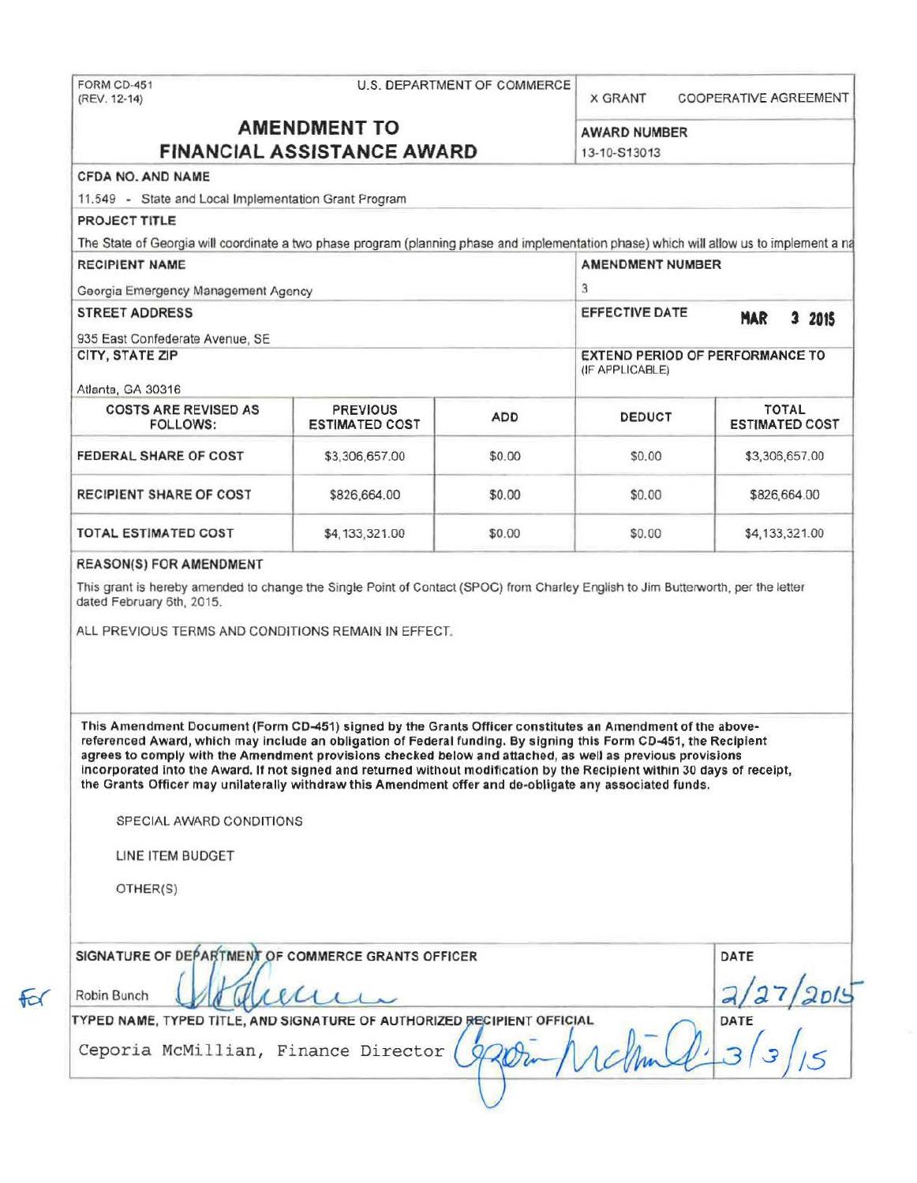FORM CD-451 (REV. 12-14)

## U.S. DEPARTMENT OF COMMERCE x GRANT

COOPERATIVE AGREEMENT

# **AMENDMENT TO FINANCIAL ASSISTANCE AWARD** 13-10-S13013<br>CFDA NO. AND NAME

| AWARD NUMBER |  |
|--------------|--|
|--------------|--|

11.549 - State and Local Implementation Grant Program

PROJECT TITLE

The State of Georgia will coordinate a two phase program (planning phase and implementation phase) which will allow us to implement a na

| <b>RECIPIENT NAME</b>                   |                                          |                                                           | <b>AMENDMENT NUMBER</b> |                                       |
|-----------------------------------------|------------------------------------------|-----------------------------------------------------------|-------------------------|---------------------------------------|
| Georgia Emergency Management Agency     |                                          |                                                           | 3                       |                                       |
| <b>STREET ADDRESS</b>                   |                                          | EFFECTIVE DATE                                            | <b>MAR</b><br>3<br>2015 |                                       |
| 935 East Confederate Avenue, SE         |                                          |                                                           |                         |                                       |
| CITY, STATE ZIP                         |                                          | <b>EXTEND PERIOD OF PERFORMANCE TO</b><br>(IF APPLICABLE) |                         |                                       |
| Atlanta, GA 30316                       |                                          |                                                           |                         |                                       |
| <b>COSTS ARE REVISED AS</b><br>FOLLOWS: | <b>PREVIOUS</b><br><b>ESTIMATED COST</b> | <b>ADD</b>                                                | <b>DEDUCT</b>           | <b>TOTAL</b><br><b>ESTIMATED COST</b> |
| FEDERAL SHARE OF COST                   | \$3.306,657,00                           | \$0.00                                                    | \$0.00                  | \$3,306,657.00                        |
| <b>RECIPIENT SHARE OF COST</b>          | \$826,664.00                             | \$0.00                                                    | \$0.00                  | \$826,664.00                          |
| <b>TOTAL ESTIMATED COST</b>             | \$4,133,321.00                           | \$0.00                                                    | \$0.00                  | \$4,133,321.00                        |

#### REASON(S) FOR AMENDMENT

This grant is hereby amended to change the Single Point of Contact (SPOC) from Charley English to Jim Butterworth, per the letter dated February 6th, 2015.

ALL PREVIOUS TERMS AND CONDITIONS REMAIN IN EFFECT.

This Amendment Document (Form CD-451) signed by the Grants Officer constitutes an Amendment of the above· referenced Award, which may include an obligation of Federal funding. By signing this Form CD-451, the Recipient agrees to comply with the Amendment provisions checked below and at1ached, as well as previous provisions incorporated into the Award. If not signed and returned without modification by the Recipient within 30 days of receipt, the Grants Officer may unilaterally withdraw this Amendment offer and de-obligate any associated funds.

SPECIAL AWARD CONDITIONS

LINE ITEM BUDGET

OTHER(S)

 $f\circ f$ 

| Robin Bunch<br>TYPED NAME, TYPED TITLE, AND SIGNATURE OF AUTHORIZED RECIPIENT OFFICIAL |      |
|----------------------------------------------------------------------------------------|------|
|                                                                                        |      |
|                                                                                        | DATE |
| Ceporia McMillian, Finance Director                                                    |      |